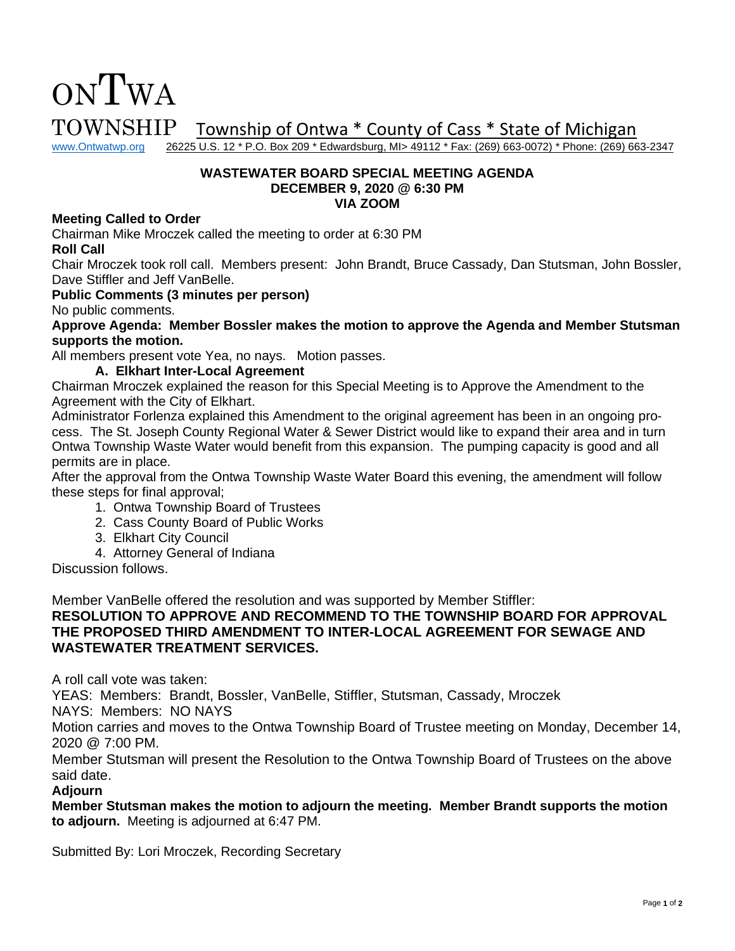$\text{TOWNSHIP}$  Township of Ontwa \* County of Cass \* State of Michigan www.Ontwatwp.org 26225 U.S. 12 \* P.O. Box 209 \* Edwardsburg, MI> 49112 \* Fax: (269) 663-0072) \* Phone: (269) 66

26225 U.S. 12 \* P.O. Box 209 \* Edwardsburg, MI> 49112 \* Fax: (269) 663-0072) \* Phone: (269) 663-2347

#### **WASTEWATER BOARD SPECIAL MEETING AGENDA DECEMBER 9, 2020 @ 6:30 PM VIA ZOOM**

### **Meeting Called to Order**

ONTWA

Chairman Mike Mroczek called the meeting to order at 6:30 PM

**Roll Call**

Chair Mroczek took roll call. Members present: John Brandt, Bruce Cassady, Dan Stutsman, John Bossler, Dave Stiffler and Jeff VanBelle.

**Public Comments (3 minutes per person)**

No public comments.

**Approve Agenda: Member Bossler makes the motion to approve the Agenda and Member Stutsman supports the motion.** 

All members present vote Yea, no nays. Motion passes.

### **A. Elkhart Inter-Local Agreement**

Chairman Mroczek explained the reason for this Special Meeting is to Approve the Amendment to the Agreement with the City of Elkhart.

Administrator Forlenza explained this Amendment to the original agreement has been in an ongoing process. The St. Joseph County Regional Water & Sewer District would like to expand their area and in turn Ontwa Township Waste Water would benefit from this expansion. The pumping capacity is good and all permits are in place.

After the approval from the Ontwa Township Waste Water Board this evening, the amendment will follow these steps for final approval;

- 1. Ontwa Township Board of Trustees
- 2. Cass County Board of Public Works
- 3. Elkhart City Council
- 4. Attorney General of Indiana

Discussion follows.

Member VanBelle offered the resolution and was supported by Member Stiffler:

**RESOLUTION TO APPROVE AND RECOMMEND TO THE TOWNSHIP BOARD FOR APPROVAL THE PROPOSED THIRD AMENDMENT TO INTER-LOCAL AGREEMENT FOR SEWAGE AND WASTEWATER TREATMENT SERVICES.** 

A roll call vote was taken:

YEAS: Members: Brandt, Bossler, VanBelle, Stiffler, Stutsman, Cassady, Mroczek

NAYS: Members: NO NAYS

Motion carries and moves to the Ontwa Township Board of Trustee meeting on Monday, December 14, 2020 @ 7:00 PM.

Member Stutsman will present the Resolution to the Ontwa Township Board of Trustees on the above said date.

## **Adjourn**

**Member Stutsman makes the motion to adjourn the meeting. Member Brandt supports the motion to adjourn.** Meeting is adjourned at 6:47 PM.

Submitted By: Lori Mroczek, Recording Secretary